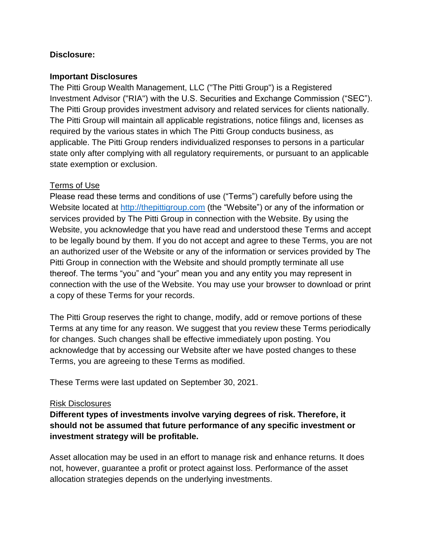## **Disclosure:**

### **Important Disclosures**

The Pitti Group Wealth Management, LLC ("The Pitti Group") is a Registered Investment Advisor ("RIA") with the U.S. Securities and Exchange Commission ("SEC"). The Pitti Group provides investment advisory and related services for clients nationally. The Pitti Group will maintain all applicable registrations, notice filings and, licenses as required by the various states in which The Pitti Group conducts business, as applicable. The Pitti Group renders individualized responses to persons in a particular state only after complying with all regulatory requirements, or pursuant to an applicable state exemption or exclusion.

## Terms of Use

Please read these terms and conditions of use ("Terms") carefully before using the Website located at [http://thepittigroup.com](http://thepittigroup.com/) (the "Website") or any of the information or services provided by The Pitti Group in connection with the Website. By using the Website, you acknowledge that you have read and understood these Terms and accept to be legally bound by them. If you do not accept and agree to these Terms, you are not an authorized user of the Website or any of the information or services provided by The Pitti Group in connection with the Website and should promptly terminate all use thereof. The terms "you" and "your" mean you and any entity you may represent in connection with the use of the Website. You may use your browser to download or print a copy of these Terms for your records.

The Pitti Group reserves the right to change, modify, add or remove portions of these Terms at any time for any reason. We suggest that you review these Terms periodically for changes. Such changes shall be effective immediately upon posting. You acknowledge that by accessing our Website after we have posted changes to these Terms, you are agreeing to these Terms as modified.

These Terms were last updated on September 30, 2021.

#### Risk Disclosures

**Different types of investments involve varying degrees of risk. Therefore, it should not be assumed that future performance of any specific investment or investment strategy will be profitable.**

Asset allocation may be used in an effort to manage risk and enhance returns. It does not, however, guarantee a profit or protect against loss. Performance of the asset allocation strategies depends on the underlying investments.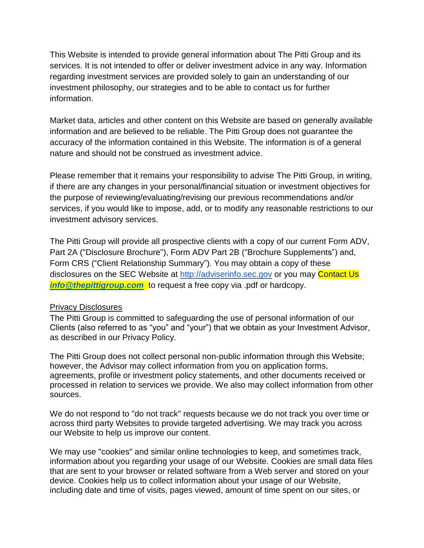This Website is intended to provide general information about The Pitti Group and its services. It is not intended to offer or deliver investment advice in any way. Information regarding investment services are provided solely to gain an understanding of our investment philosophy, our strategies and to be able to contact us for further information.

Market data, articles and other content on this Website are based on generally available information and are believed to be reliable. The Pitti Group does not guarantee the accuracy of the information contained in this Website. The information is of a general nature and should not be construed as investment advice.

Please remember that it remains your responsibility to advise The Pitti Group, in writing, if there are any changes in your personal/financial situation or investment objectives for the purpose of reviewing/evaluating/revising our previous recommendations and/or services, if you would like to impose, add, or to modify any reasonable restrictions to our investment advisory services.

The Pitti Group will provide all prospective clients with a copy of our current Form ADV, Part 2A ("Disclosure Brochure"), Form ADV Part 2B ("Brochure Supplements") and, Form CRS ("Client Relationship Summary"). You may obtain a copy of these disclosures on the SEC Website at [http://adviserinfo.sec.gov](http://adviserinfo.sec.gov/) or you may Contact Us *[info@thepittigroup.com](mailto:info@thepittigroup.com)* to request a free copy via .pdf or hardcopy.

#### **Privacy Disclosures**

The Pitti Group is committed to safeguarding the use of personal information of our Clients (also referred to as "you" and "your") that we obtain as your Investment Advisor, as described in our Privacy Policy.

The Pitti Group does not collect personal non-public information through this Website; however, the Advisor may collect information from you on application forms, agreements, profile or investment policy statements, and other documents received or processed in relation to services we provide. We also may collect information from other sources.

We do not respond to "do not track" requests because we do not track you over time or across third party Websites to provide targeted advertising. We may track you across our Website to help us improve our content.

We may use "cookies" and similar online technologies to keep, and sometimes track, information about you regarding your usage of our Website. Cookies are small data files that are sent to your browser or related software from a Web server and stored on your device. Cookies help us to collect information about your usage of our Website, including date and time of visits, pages viewed, amount of time spent on our sites, or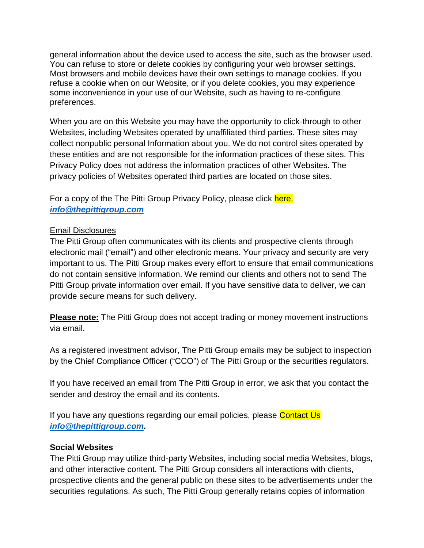general information about the device used to access the site, such as the browser used. You can refuse to store or delete cookies by configuring your web browser settings. Most browsers and mobile devices have their own settings to manage cookies. If you refuse a cookie when on our Website, or if you delete cookies, you may experience some inconvenience in your use of our Website, such as having to re-configure preferences.

When you are on this Website you may have the opportunity to click-through to other Websites, including Websites operated by unaffiliated third parties. These sites may collect nonpublic personal Information about you. We do not control sites operated by these entities and are not responsible for the information practices of these sites. This Privacy Policy does not address the information practices of other Websites. The privacy policies of Websites operated third parties are located on those sites.

For a copy of the The Pitti Group Privacy Policy, please click here. *[info@thepittigroup.com](mailto:info@thepittigroup.com)*

# Email Disclosures

The Pitti Group often communicates with its clients and prospective clients through electronic mail ("email") and other electronic means. Your privacy and security are very important to us. The Pitti Group makes every effort to ensure that email communications do not contain sensitive information. We remind our clients and others not to send The Pitti Group private information over email. If you have sensitive data to deliver, we can provide secure means for such delivery.

**Please note:** The Pitti Group does not accept trading or money movement instructions via email.

As a registered investment advisor, The Pitti Group emails may be subject to inspection by the Chief Compliance Officer ("CCO") of The Pitti Group or the securities regulators.

If you have received an email from The Pitti Group in error, we ask that you contact the sender and destroy the email and its contents.

If you have any questions regarding our email policies, please Contact Us *[info@thepittigroup.com.](mailto:info@thepittigroup.com)* 

# **Social Websites**

The Pitti Group may utilize third-party Websites, including social media Websites, blogs, and other interactive content. The Pitti Group considers all interactions with clients, prospective clients and the general public on these sites to be advertisements under the securities regulations. As such, The Pitti Group generally retains copies of information